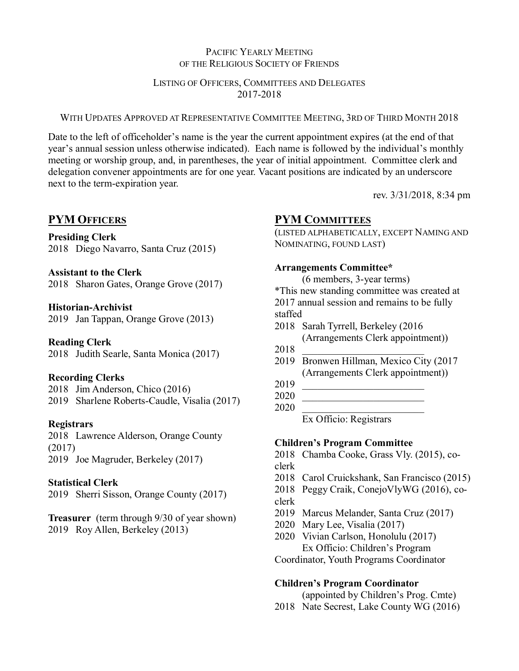# PACIFIC YEARLY MEETING OF THE RELIGIOUS SOCIETY OF FRIENDS

#### LISTING OF OFFICERS, COMMITTEES AND DELEGATES 2017-2018

### WITH UPDATES APPROVED AT REPRESENTATIVE COMMITTEE MEETING, 3RD OF THIRD MONTH 2018

Date to the left of officeholder's name is the year the current appointment expires (at the end of that year's annual session unless otherwise indicated). Each name is followed by the individual's monthly meeting or worship group, and, in parentheses, the year of initial appointment. Committee clerk and delegation convener appointments are for one year. Vacant positions are indicated by an underscore next to the term-expiration year.

rev. 3/31/2018, 8:34 pm

# **PYM OFFICERS**

## **Presiding Clerk**

2018 Diego Navarro, Santa Cruz (2015)

## **Assistant to the Clerk**

2018 Sharon Gates, Orange Grove (2017)

# **Historian-Archivist**

2019 Jan Tappan, Orange Grove (2013)

# **Reading Clerk**

2018 Judith Searle, Santa Monica (2017)

# **Recording Clerks**

2018 Jim Anderson, Chico (2016)

2019 Sharlene Roberts-Caudle, Visalia (2017)

# **Registrars**

2018 Lawrence Alderson, Orange County (2017) 2019 Joe Magruder, Berkeley (2017)

# **Statistical Clerk**

2019 Sherri Sisson, Orange County (2017)

**Treasurer** (term through 9/30 of year shown) 2019 Roy Allen, Berkeley (2013)

# **PYM COMMITTEES**

(LISTED ALPHABETICALLY, EXCEPT NAMING AND NOMINATING, FOUND LAST)

## **Arrangements Committee\***

(6 members, 3-year terms) \*This new standing committee was created at 2017 annual session and remains to be fully staffed

- 2018 Sarah Tyrrell, Berkeley (2016 (Arrangements Clerk appointment))
- 2018 \_\_\_\_\_\_\_\_\_\_\_\_\_\_\_\_\_\_\_\_\_\_\_\_
- 2019 Bronwen Hillman, Mexico City (2017 (Arrangements Clerk appointment))
- 2019 \_\_\_\_\_\_\_\_\_\_\_\_\_\_\_\_\_\_\_\_\_\_\_\_

2020 \_\_\_\_\_\_\_\_\_\_\_\_\_\_\_\_\_\_\_\_\_\_\_\_

2020 \_\_\_\_\_\_\_\_\_\_\_\_\_\_\_\_\_\_\_\_\_\_\_\_

Ex Officio: Registrars

# **Children's Program Committee**

2018 Chamba Cooke, Grass Vly. (2015), coclerk

- 2018 Carol Cruickshank, San Francisco (2015)
- 2018 Peggy Craik, ConejoVlyWG (2016), co-
- clerk
- 2019 Marcus Melander, Santa Cruz (2017)
- 2020 Mary Lee, Visalia (2017)
- 2020 Vivian Carlson, Honolulu (2017) Ex Officio: Children's Program

Coordinator, Youth Programs Coordinator

# **Children's Program Coordinator**

(appointed by Children's Prog. Cmte)

2018 Nate Secrest, Lake County WG (2016)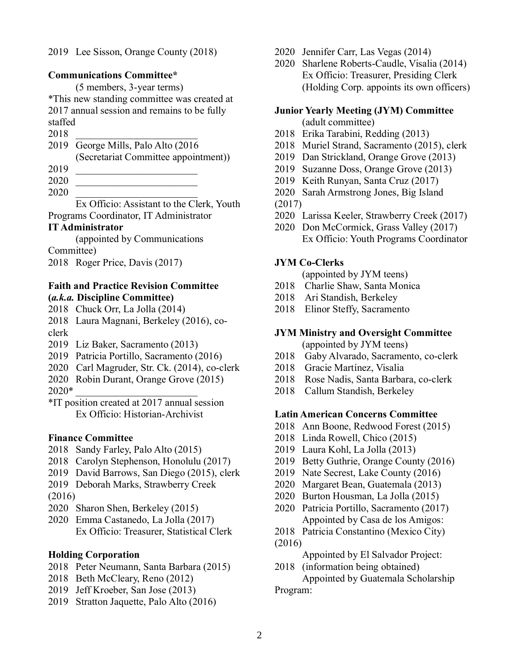2019 Lee Sisson, Orange County (2018)

#### **Communications Committee\***

(5 members, 3-year terms) \*This new standing committee was created at 2017 annual session and remains to be fully staffed

- 2018 \_\_\_\_\_\_\_\_\_\_\_\_\_\_\_\_\_\_\_\_\_\_\_\_
- 2019 George Mills, Palo Alto (2016

(Secretariat Committee appointment))

- 2019 \_\_\_\_\_\_\_\_\_\_\_\_\_\_\_\_\_\_\_\_\_\_\_\_
- 2020 \_\_\_\_\_\_\_\_\_\_\_\_\_\_\_\_\_\_\_\_\_\_\_\_
- 2020 \_\_\_\_\_\_\_\_\_\_\_\_\_\_\_\_\_\_\_\_\_\_\_\_

Ex Officio: Assistant to the Clerk, Youth Programs Coordinator, IT Administrator

#### **IT Administrator**

(appointed by Communications

Committee)

2018 Roger Price, Davis (2017)

#### **Faith and Practice Revision Committee (***a.k.a.* **Discipline Committee)**

- 2018 Chuck Orr, La Jolla (2014)
- 2018 Laura Magnani, Berkeley (2016), co-
- clerk
- 2019 Liz Baker, Sacramento (2013)
- 2019 Patricia Portillo, Sacramento (2016)
- 2020 Carl Magruder, Str. Ck. (2014), co-clerk
- 2020 Robin Durant, Orange Grove (2015)
- $2020*$
- \*IT position created at 2017 annual session Ex Officio: Historian-Archivist

#### **Finance Committee**

- 2018 Sandy Farley, Palo Alto (2015)
- 2018 Carolyn Stephenson, Honolulu (2017)
- 2019 David Barrows, San Diego (2015), clerk
- 2019 Deborah Marks, Strawberry Creek
- (2016)
- 2020 Sharon Shen, Berkeley (2015)
- 2020 Emma Castanedo, La Jolla (2017) Ex Officio: Treasurer, Statistical Clerk

# **Holding Corporation**

- 2018 Peter Neumann, Santa Barbara (2015)
- 2018 Beth McCleary, Reno (2012)
- 2019 Jeff Kroeber, San Jose (2013)
- 2019 Stratton Jaquette, Palo Alto (2016)
- 2020 Jennifer Carr, Las Vegas (2014)
- 2020 Sharlene Roberts-Caudle, Visalia (2014) Ex Officio: Treasurer, Presiding Clerk (Holding Corp. appoints its own officers)

# **Junior Yearly Meeting (JYM) Committee**

- (adult committee)
- 2018 Erika Tarabini, Redding (2013)
- 2018 Muriel Strand, Sacramento (2015), clerk
- 2019 Dan Strickland, Orange Grove (2013)
- 2019 Suzanne Doss, Orange Grove (2013)
- 2019 Keith Runyan, Santa Cruz (2017)
- 2020 Sarah Armstrong Jones, Big Island
- (2017)
- 2020 Larissa Keeler, Strawberry Creek (2017)
- 2020 Don McCormick, Grass Valley (2017) Ex Officio: Youth Programs Coordinator

## **JYM Co-Clerks**

- (appointed by JYM teens)
- 2018 Charlie Shaw, Santa Monica
- 2018 Ari Standish, Berkeley
- 2018 Elinor Steffy, Sacramento

## **JYM Ministry and Oversight Committee**

- (appointed by JYM teens)
- 2018 Gaby Alvarado, Sacramento, co-clerk
- 2018 Gracie Martínez, Visalia
- 2018 Rose Nadis, Santa Barbara, co-clerk
- 2018 Callum Standish, Berkeley

#### **Latin American Concerns Committee**

- 2018 Ann Boone, Redwood Forest (2015)
- 2018 Linda Rowell, Chico (2015)
- 2019 Laura Kohl, La Jolla (2013)
- 2019 Betty Guthrie, Orange County (2016)
- 2019 Nate Secrest, Lake County (2016)
- 2020 Margaret Bean, Guatemala (2013)
- 2020 Burton Housman, La Jolla (2015)
- 2020 Patricia Portillo, Sacramento (2017) Appointed by Casa de los Amigos:
- 2018 Patricia Constantino (Mexico City) (2016)

#### Appointed by El Salvador Project:

2018 (information being obtained)

Appointed by Guatemala Scholarship Program: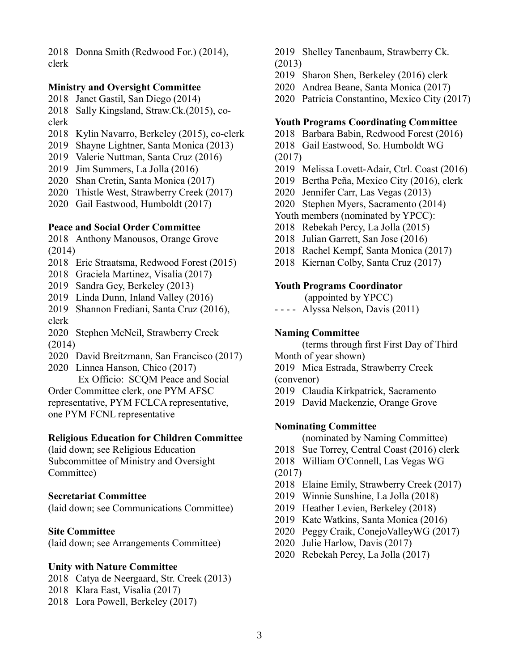2018 Donna Smith (Redwood For.) (2014), clerk

#### **Ministry and Oversight Committee**

2018 Janet Gastil, San Diego (2014)

2018 Sally Kingsland, Straw.Ck.(2015), coclerk

- 2018 Kylin Navarro, Berkeley (2015), co-clerk
- 2019 Shayne Lightner, Santa Monica (2013)
- 2019 Valerie Nuttman, Santa Cruz (2016)
- 2019 Jim Summers, La Jolla (2016)
- 2020 Shan Cretin, Santa Monica (2017)
- 2020 Thistle West, Strawberry Creek (2017)
- 2020 Gail Eastwood, Humboldt (2017)

#### **Peace and Social Order Committee**

2018 Anthony Manousos, Orange Grove (2014)

2018 Eric Straatsma, Redwood Forest (2015)

2018 Graciela Martinez, Visalia (2017)

- 2019 Sandra Gey, Berkeley (2013)
- 2019 Linda Dunn, Inland Valley (2016)
- 2019 Shannon Frediani, Santa Cruz (2016), clerk

2020 Stephen McNeil, Strawberry Creek (2014)

- 2020 David Breitzmann, San Francisco (2017)
- 2020 Linnea Hanson, Chico (2017)

Ex Officio: SCQM Peace and Social Order Committee clerk, one PYM AFSC representative, PYM FCLCA representative, one PYM FCNL representative

#### **Religious Education for Children Committee**

(laid down; see Religious Education Subcommittee of Ministry and Oversight Committee)

#### **Secretariat Committee**

(laid down; see Communications Committee)

#### **Site Committee**

(laid down; see Arrangements Committee)

#### **Unity with Nature Committee**

- 2018 Catya de Neergaard, Str. Creek (2013)
- 2018 Klara East, Visalia (2017)
- 2018 Lora Powell, Berkeley (2017)
- 2019 Shelley Tanenbaum, Strawberry Ck. (2013)
- 2019 Sharon Shen, Berkeley (2016) clerk
- 2020 Andrea Beane, Santa Monica (2017)
- 2020 Patricia Constantino, Mexico City (2017)

#### **Youth Programs Coordinating Committee**

- 2018 Barbara Babin, Redwood Forest (2016)
- 2018 Gail Eastwood, So. Humboldt WG
- (2017)
- 2019 Melissa Lovett-Adair, Ctrl. Coast (2016)
- 2019 Bertha Peña, Mexico City (2016), clerk
- 2020 Jennifer Carr, Las Vegas (2013)
- 2020 Stephen Myers, Sacramento (2014)
- Youth members (nominated by YPCC):
- 2018 Rebekah Percy, La Jolla (2015)
- 2018 Julian Garrett, San Jose (2016)
- 2018 Rachel Kempf, Santa Monica (2017)
- 2018 Kiernan Colby, Santa Cruz (2017)

#### **Youth Programs Coordinator**

(appointed by YPCC)

- - - - Alyssa Nelson, Davis (2011)

#### **Naming Committee**

(terms through first First Day of Third Month of year shown)

- 2019 Mica Estrada, Strawberry Creek (convenor)
- 2019 Claudia Kirkpatrick, Sacramento
- 2019 David Mackenzie, Orange Grove

#### **Nominating Committee**

(nominated by Naming Committee)

- 2018 Sue Torrey, Central Coast (2016) clerk
- 2018 William O'Connell, Las Vegas WG (2017)
- 2018 Elaine Emily, Strawberry Creek (2017)
- 2019 Winnie Sunshine, La Jolla (2018)
- 2019 Heather Levien, Berkeley (2018)
- 2019 Kate Watkins, Santa Monica (2016)
- 2020 Peggy Craik, ConejoValleyWG (2017)
- 2020 Julie Harlow, Davis (2017)
- 2020 Rebekah Percy, La Jolla (2017)